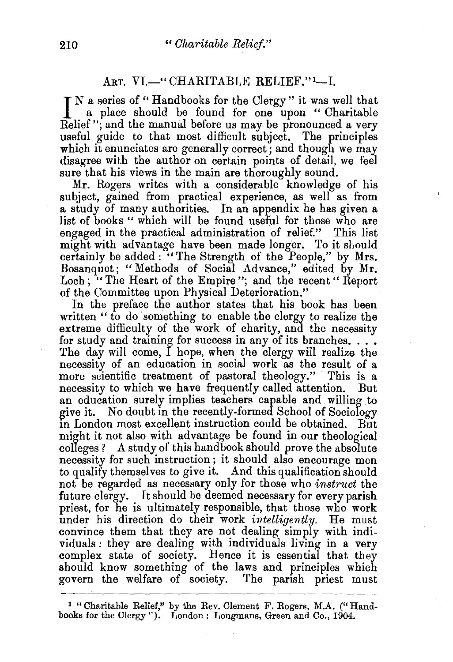## ART. VI.—"CHARITABLE RELIEF."<sup>1</sup>---I.

I N a series of "Handbooks for the Clergy" it was well that a place should be found for one upon "Charitable Relief"; and the manual before us may be pronounced a very useful guide to that most difficult subject. The principles which it enunciates are generally correct; and though we may disagree with the author on certain points of detail, we feel sure that his views in the main are thoroughly sound.

Mr. Rogers writes with a considerable knowledge of his subject, gained from practical experience, as well as from a study of many authorities. In an appendix he has given a list of books " which will be found useful for those who are engaged in the practical administration of relief." This list might with advantage have been made longer. To it should certainly be added : "The Strength of the People," by Mrs. Bosanquet; "Methods of Social Advance," edited by Mr. Loch; "The Heart of the Empire"; and the recent" Report of the Committee upon Physical Deterioration."

In the preface the author states that his book has been written " to do something to enable the clergy to realize the extreme difficulty of the work of charity, and the necessity for study and training for success in any of its branches. . . . The day will come, I hope, when the clergy will realize the necessity of an education in social work as the result of a more scientific treatment of pastoral theology." This is a necessity to which we have frequently called attention. But an education surely implies teachers capable and willing to give it. No doubt in the recently-formed School of Sociology m London most excellent instruction could be obtained. But might it not also with advantage be found in our theological colleges? A study of this handbook should prove the absolute necessity for such instruction; it should also encourage men to qualify themselves to give it. And this qualification should not be regarded as necessary only for those who *instruct* the future clergy. It should be deemed necessary for every parish priest, for he is ultimately responsible, that those who work under his direction do their work *intelligently*. He must convince them that they are not dealing simply with individuals: they are dealing with individuals living in a very complex state of society. Hence it is essential that they should know something of the laws and principles which govern the welfare of society. The parish priest must

<sup>1</sup> "Charitable Relief," by the Rev. Clement F. Rogers, M.A. ("Handbooks for the Clergy"). London: Longmans, Green and Co., 1904.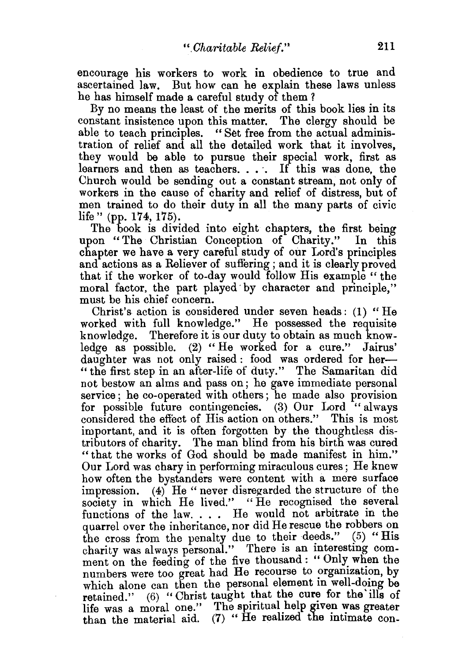encourage his workers to work in obedience to true and ascertained law. But how can he explain these laws unless he has himself made a careful study of them ?

By no means the least of the merits of this book lies in its constant insistence upon this matter. The clergy should be able to teach principles. " Set free from the actual administration of relief and all the detailed work that it involves, they would be able to pursue their special work, first as learners and then as teachers. . . . If this was done, the Church would be sending out a constant stream, not only of workers in the cause of charity and relief of distress, but of men trained to do their duty in all the many parts of civic life" (pp. 174, 175).

The book is divided into eight chapters, the first being upon "The Christian Conception of Charity." In this chapter we have a very careful study of our Lord's principles and actions as a Reliever of suffering; and it is clearly proved that if the worker of to-day would follow His example " the moral factor, the part played· by character and principle," must be his chief concern.

Christ's action is considered under seven heads: (1) "He worked with full knowledge." He possessed the requisite knowledge. Therefore it is our duty to obtain as much knowledge as possible. (2) "He worked for a cure." Jairus' daughter was not only raised : food was ordered for her-" the first step in an after-life of duty." The Samaritan did not bestow an alms and pass on; he gave immediate personal service ; he co-operated with others; he made also provision for possible future contingencies. (3) Our Lord "always considered the effect of His action on others." This is most important, and it is often forgotten by the thoughtless distributors of charity. The man blind from his birth was cured "that the works of God should be made manifest in him." Our Lord was chary in performing miraculous cures ; He knew how often the bystanders were content with a mere surface impression. (4) He "never disregarded the structure of the society in which He lived." "He recognised the several functions of the law. . . . He would not arbitrate in the quarrel over the inheritance, nor did He rescue the robbers on the cross from the penalty due to their deeds."  $(5)$  "His charity was always personal." There is an interesting comment on the feeding of the five thousand: "Only when the numbers were too great had He recourse to organization, by which alone can then the personal element in well-doing be retained."  $(6)$  "Christ taught that the cure for the ills of life was a moral one." The spiritual help given was greater than the material aid. (7) " He realized the intimate con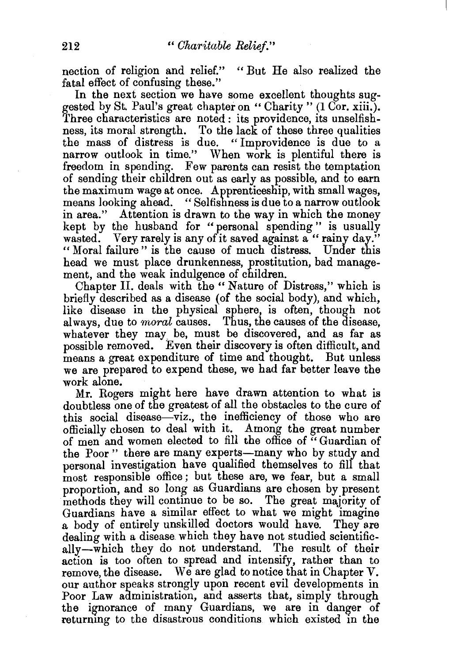nection of religion and relief." "But He also realized the fatal effect of confusing these."

In the next section we have some excellent thoughts suggested by St. Paul's great chapter on "Charity"  $(1 \overline{C} \sigma r, x \overline{iii})$ . Three characteristics are noted : its providence, its unselfishness, its moral strength. To the lack of these three qualities the mass of distress is due. "Improvidence is due to a narrow outlook in time." When work is plentiful there is freedom in spending. Few parents can resist the temptation of sending their children out as early as possible, and to earn the maximum wage at once. Apprenticeship, with small wages, means looking ahead. "Selfishness is due to a narrow outlook in area." Attention is drawn to the way in which the money kept by the husband for " personal spending" is usually wasted. Very rarely is any of it saved against a " rainy day." "Moral failure" is the cause of much distress. Under this head we must place drunkenness, prostitution, bad management, and the weak indulgence of children.

Chapter II. deals with the "Nature of Distress," which is briefly described as a disease (of the social body), and which, like disease in the physical sphere, is often, though not always, due to *moral* causes. Thus, the causes of the disease. whatever they may be, must be discovered, and as far as possible removed. Even their discovery is often difficult, and means a great expenditure of time and thought. But unless we are prepared to expend these, we had far better leave the work alone.

Mr. Rogers might here have drawn attention to what is doubtless one of the greatest of all the obstacles to the cure of this social disease—viz., the inefficiency of those who are officially chosen to deal with it. Among the great number of men and women elected to fill the office of " Guardian of the Poor" there are many experts-many who by study and personal investigation have qualified themselves to fill that most responsible office; but these are, we fear, but a small proportion, and so long as Guardians are chosen by present methods they will continue to be so. The great majority of Guardians have a similar effect to what we might imagine a body of entirely unskilled doctors would have. They are dealing with a disease. which they have not studied scientifically-which they do not understand. The result of their action is too often to spread and intensify, rather than to remove, the disease. We are glad to notice that in Chapter V. our author speaks strongly upon recent evil developments in Poor. Law administration, and asserts that, simply through the ignorance of many Guardians, we are in danger of returning to the disastrous conditions which existed in the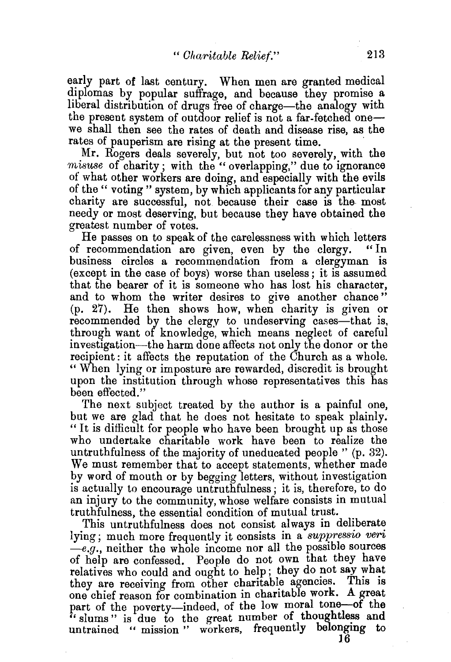early part of last century. When men are granted medical diplomas by popular suffrage, and because they promise a liberal distribution of drugs free of charge—the analogy with the present system of outdoor relief is not a far-fetched one we shall then see the rates of death and disease rise, as the rates of pauperism are rising at the present time.

Mr. Rogers deals severely, but not too severely, with the *misuse* of charity; with the "overlapping," due to ignorance of what other workers are doing, and especially with the evils of the" voting" system, by which applicants for any particular charity are successful, not. because their case is the most needy or most deserving, but because they have obtained the greatest number of votes.

He passes on to speak of the carelessness with which letters of recommendation are given, even by the clergy. "In business circles a recommendation from a clergyman is (except in the case of boys) worse than useless; it is assumed that the bearer of it is someone who has lost his character, and to whom the writer desires to give another chance" (p. 27). He then shows how, when charity is given or recommended by the clergy to undeserving cases—that is, through want of knowledge, which means neglect of careful investigation-the harm done affects not only the donor or the recipient : it affects the reputation of the Church as a whole. "When lying or imposture are rewarded, discredit is brought upon the institution through whose representatives this has been effected."

The next subject treated by the author is a painful one, but we are glad that he does not hesitate to speak plainly. "It is difficult for people who have been brought up as those who undertake charitable work have been to realize the untruthfulness of the majority of uneducated people " (p. 32). We must remember that to accept statements, whether made by word of mouth or by begging letters, without investigation is actually to encourage untruthfulness; it is, therefore, to do an injury to the community, whose welfare consists in mutual truthfulness, the essential condition of mutual trust.

This untruthfulness does not consist always in deliberate lying; much more frequently it consists in a *suppressio veri -e.g.,* neither the whole income nor all the possible sources of help are confessed. People do not own that they have relatives who could and ought to help; they do not say what they are receiving from other charitable agencies. This is they are receiving from other charitable agencies. one chief reason for combination in charitable work. A great part of the poverty--indeed, of the low moral tone-of the  $\ddot{\cdot}$  slums" is due to the great number of thoughtless and untrained " mission " workers, frequently belonging to

16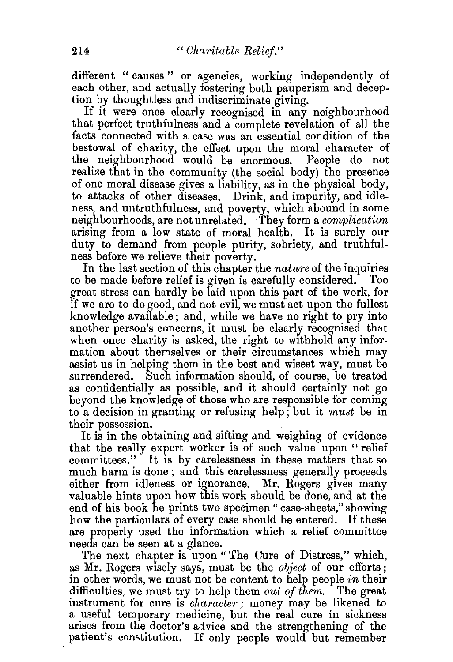different " causes " or agencies, working independently of each other, and actually fostering both pauperism and deception by thoughtless and indiscriminate giving.

If it were once clearly recognised in any neighbourhood that perfect truthfulness and a complete revelation of all the facts connected with a case was an essential condition of the bestowal of charity, the effect upon the moral character of the neighbourhood would be enormous. People do not realize that in the community (the social body) the presence of one moral disease gives a liability, as in the physical body, to attacks of other diseases. Drink, and impurity, and idleness, and untruthfulness, and poverty, which abound in some neighbourhoods, are not unrelated. They form a *complication*  arising from a low state of moral health. It is surely our duty to demand from people purity, sobriety, and truthfulness before we relieve their poverty.

In the last section of this chapter the *nature* of the inquiries to be made before relief is given is carefully considered. Too great stress can hardly be laid upon this part of the work, for if we are to do good, and not evil, we must act upon the fullest knowledge available; and, while we have no right to pry into another person's concerns, it must be clearly recognised that when once charity is asked, the right to withhold any information about themselves or their circumstances which may assist us in helping them in the best and wisest way, must be surrendered. Such information should, of course, be treated as confidentially as possible, and it should certainly not go beyond the knowledge of those who are responsible for coming to a decision in granting or refusing help; but it *must* be in their possession.

It is in the obtaining and sifting and weighing of evidence that the really expert worker is of such value upon "relief committees." It is by carelessness in these matters that so much harm is done ; and this carelessness generally proceeds either from idleness or ignorance. Mr. Rogers gives many valuable hints upon how this work should be done, and at the end of his book he prints two specimen " case-sheets," showing how the particulars of every case should be entered. If these are properly used the information which a relief committee needs can be seen at a glance.

The next chapter is upon "The Cure of Distress," which, as Mr. Rogers wisely says, must be the *object* of our efforts; in other words, we must not be content to help people *in* their difficulties, we must try to help them *out of them.* The great instrument for cure is *character;* money may be likened to a useful temporary medicine, but the real cure in sickness arises from the doctor's advice and the strengthening of the patient's constitution. If only people would but remember